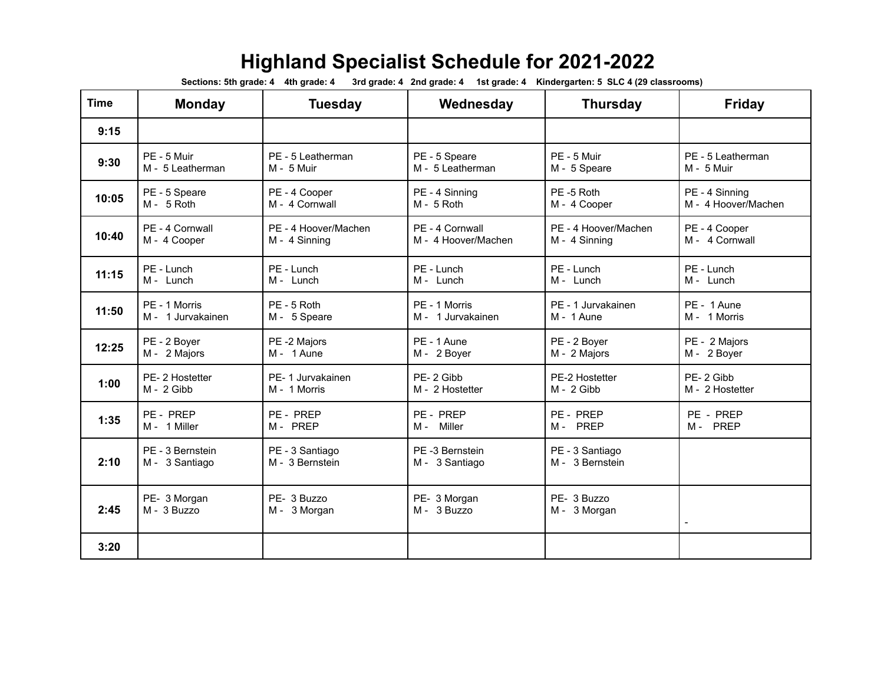## **Highland Specialist Schedule for 2021-2022**

Sections: 5th grade: 4 4th grade: 4 3rd grade: 4 2nd grade: 4 1st grade: 4 Kindergarten: 5 SLC 4 (29 classrooms)

| <b>Time</b> | <b>Monday</b>                      | <b>Tuesday</b>                     | Wednesday                        | <b>Thursday</b>                    | <b>Friday</b>       |
|-------------|------------------------------------|------------------------------------|----------------------------------|------------------------------------|---------------------|
| 9:15        |                                    |                                    |                                  |                                    |                     |
| 9:30        | PE - 5 Muir                        | PE - 5 Leatherman                  | PE - 5 Speare                    | PE - 5 Muir                        | PE - 5 Leatherman   |
|             | M - 5 Leatherman                   | $M - 5$ Muir                       | M - 5 Leatherman                 | M - 5 Speare                       | M - 5 Muir          |
| 10:05       | PE - 5 Speare                      | PE - 4 Cooper                      | PE - 4 Sinning                   | PE-5 Roth                          | PE - 4 Sinning      |
|             | $M - 5$ Roth                       | M - 4 Cornwall                     | $M - 5$ Roth                     | M - 4 Cooper                       | M - 4 Hoover/Machen |
| 10:40       | PE - 4 Cornwall                    | PE - 4 Hoover/Machen               | PF - 4 Cornwall                  | PE - 4 Hoover/Machen               | PE - 4 Cooper       |
|             | M - 4 Cooper                       | M - 4 Sinning                      | M - 4 Hoover/Machen              | M - 4 Sinning                      | M - 4 Cornwall      |
| 11:15       | PE - Lunch                         | PE - Lunch                         | PE - Lunch                       | PE - Lunch                         | PE - Lunch          |
|             | M - Lunch                          | M - Lunch                          | M - Lunch                        | M - Lunch                          | M - Lunch           |
| 11:50       | PE - 1 Morris                      | PE - 5 Roth                        | PE - 1 Morris                    | PE - 1 Jurvakainen                 | PE - 1 Aune         |
|             | M - 1 Jurvakainen                  | M - 5 Speare                       | M - 1 Jurvakainen                | M - 1 Aune                         | M - 1 Morris        |
| 12:25       | PE - 2 Boyer                       | PE -2 Majors                       | PE - 1 Aune                      | PE - 2 Boyer                       | PE - 2 Majors       |
|             | M - 2 Majors                       | M - 1 Aune                         | M - 2 Boyer                      | M - 2 Majors                       | M - 2 Boyer         |
| 1:00        | PE-2 Hostetter                     | PE-1 Jurvakainen                   | PE-2 Gibb                        | PE-2 Hostetter                     | PE-2 Gibb           |
|             | M - 2 Gibb                         | M - 1 Morris                       | M - 2 Hostetter                  | M - 2 Gibb                         | M - 2 Hostetter     |
| 1:35        | PE - PREP                          | PE - PREP                          | PE - PREP                        | PE - PREP                          | PE - PREP           |
|             | M - 1 Miller                       | M- PREP                            | M- Miller                        | M- PREP                            | M- PREP             |
| 2:10        | PE - 3 Bernstein<br>M - 3 Santiago | PE - 3 Santiago<br>M - 3 Bernstein | PE-3 Bernstein<br>M - 3 Santiago | PE - 3 Santiago<br>M - 3 Bernstein |                     |
| 2:45        | PE- 3 Morgan<br>M - 3 Buzzo        | PE- 3 Buzzo<br>M - 3 Morgan        | PE- 3 Morgan<br>M - 3 Buzzo      | PE- 3 Buzzo<br>M - 3 Morgan        |                     |
| 3:20        |                                    |                                    |                                  |                                    |                     |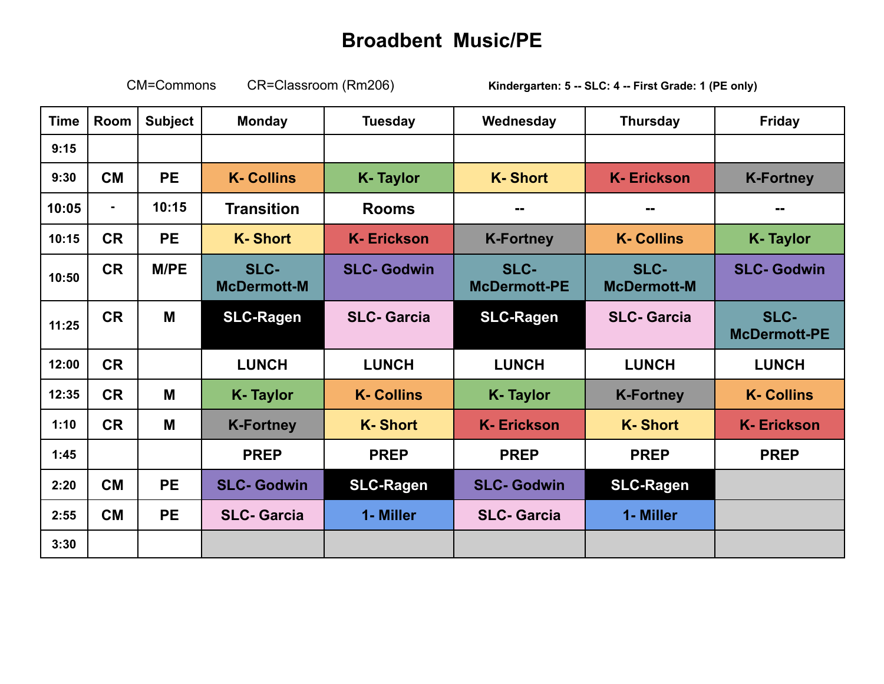## **Broadbent Music/PE**

CM=Commons CR=Classroom (Rm206) **Kindergarten: 5 -- SLC: 4 -- First Grade: 1 (PE only)**

| <b>Time</b> | Room           | <b>Subject</b> | <b>Monday</b>              | <b>Tuesday</b>     | Wednesday                   | <b>Thursday</b>            | <b>Friday</b>               |
|-------------|----------------|----------------|----------------------------|--------------------|-----------------------------|----------------------------|-----------------------------|
| 9:15        |                |                |                            |                    |                             |                            |                             |
| 9:30        | <b>CM</b>      | <b>PE</b>      | <b>K-Collins</b>           | <b>K-Taylor</b>    | <b>K-Short</b>              | <b>K-Erickson</b>          | <b>K-Fortney</b>            |
| 10:05       | $\blacksquare$ | 10:15          | <b>Transition</b>          | <b>Rooms</b>       | --                          | --                         | --                          |
| 10:15       | <b>CR</b>      | <b>PE</b>      | <b>K-Short</b>             | <b>K-Erickson</b>  | <b>K-Fortney</b>            | <b>K-Collins</b>           | <b>K-Taylor</b>             |
| 10:50       | <b>CR</b>      | <b>M/PE</b>    | SLC-<br><b>McDermott-M</b> | <b>SLC- Godwin</b> | SLC-<br><b>McDermott-PE</b> | SLC-<br><b>McDermott-M</b> | <b>SLC- Godwin</b>          |
| 11:25       | <b>CR</b>      | M              | <b>SLC-Ragen</b>           | <b>SLC-Garcia</b>  | <b>SLC-Ragen</b>            | <b>SLC-Garcia</b>          | SLC-<br><b>McDermott-PE</b> |
| 12:00       | <b>CR</b>      |                | <b>LUNCH</b>               | <b>LUNCH</b>       | <b>LUNCH</b>                | <b>LUNCH</b>               | <b>LUNCH</b>                |
| 12:35       | <b>CR</b>      | M              | <b>K-Taylor</b>            | <b>K-Collins</b>   | <b>K-Taylor</b>             | <b>K-Fortney</b>           | <b>K-Collins</b>            |
| 1:10        | <b>CR</b>      | M              | <b>K-Fortney</b>           | <b>K-Short</b>     | <b>K-Erickson</b>           | <b>K-Short</b>             | <b>K-Erickson</b>           |
| 1:45        |                |                | <b>PREP</b>                | <b>PREP</b>        | <b>PREP</b>                 | <b>PREP</b>                | <b>PREP</b>                 |
| 2:20        | <b>CM</b>      | <b>PE</b>      | <b>SLC- Godwin</b>         | <b>SLC-Ragen</b>   | <b>SLC-Godwin</b>           | <b>SLC-Ragen</b>           |                             |
| 2:55        | <b>CM</b>      | <b>PE</b>      | <b>SLC-Garcia</b>          | 1- Miller          | <b>SLC-Garcia</b>           | 1- Miller                  |                             |
| 3:30        |                |                |                            |                    |                             |                            |                             |